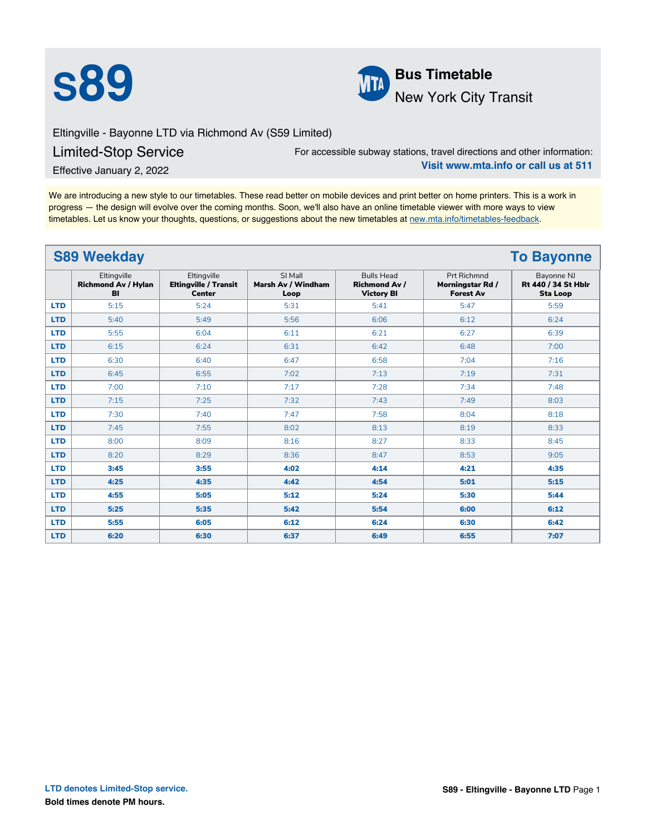



Eltingville - Bayonne LTD via Richmond Av (S59 Limited)

## Limited-Stop Service

For accessible subway stations, travel directions and other information: **Visit www.mta.info or call us at 511**

Effective January 2, 2022

We are introducing a new style to our timetables. These read better on mobile devices and print better on home printers. This is a work in progress — the design will evolve over the coming months. Soon, we'll also have an online timetable viewer with more ways to view timetables. Let us know your thoughts, questions, or suggestions about the new timetables at [new.mta.info/timetables-feedback](https://new.mta.info/timetables-feedback).

| <b>S89 Weekday</b><br><b>To Bayonne</b> |                                                 |                                                              |                                       |                                                                |                                                     |                                                      |  |
|-----------------------------------------|-------------------------------------------------|--------------------------------------------------------------|---------------------------------------|----------------------------------------------------------------|-----------------------------------------------------|------------------------------------------------------|--|
|                                         | Eltingville<br><b>Richmond Av / Hylan</b><br>BI | Eltingville<br><b>Eltingville / Transit</b><br><b>Center</b> | SI Mall<br>Marsh Av / Windham<br>Loop | <b>Bulls Head</b><br><b>Richmond Av /</b><br><b>Victory BI</b> | Prt Richmnd<br>Morningstar Rd /<br><b>Forest Av</b> | Bayonne NJ<br>Rt 440 / 34 St Hblr<br><b>Sta Loop</b> |  |
| <b>LTD</b>                              | 5:15                                            | 5:24                                                         | 5:31                                  | 5:41                                                           | 5:47                                                | 5:59                                                 |  |
| <b>LTD</b>                              | 5:40                                            | 5:49                                                         | 5:56                                  | 6:06                                                           | 6:12                                                | 6:24                                                 |  |
| <b>LTD</b>                              | 5:55                                            | 6:04                                                         | 6:11                                  | 6:21                                                           | 6:27                                                | 6:39                                                 |  |
| <b>LTD</b>                              | 6:15                                            | 6:24                                                         | 6:31                                  | 6:42                                                           | 6:48                                                | 7:00                                                 |  |
| <b>LTD</b>                              | 6:30                                            | 6:40                                                         | 6:47                                  | 6:58                                                           | 7:04                                                | 7:16                                                 |  |
| <b>LTD</b>                              | 6:45                                            | 6:55                                                         | 7:02                                  | 7:13                                                           | 7:19                                                | 7:31                                                 |  |
| <b>LTD</b>                              | 7:00                                            | 7:10                                                         | 7:17                                  | 7:28                                                           | 7:34                                                | 7:48                                                 |  |
| <b>LTD</b>                              | 7:15                                            | 7:25                                                         | 7:32                                  | 7:43                                                           | 7:49                                                | 8:03                                                 |  |
| <b>LTD</b>                              | 7:30                                            | 7:40                                                         | 7:47                                  | 7:58                                                           | 8:04                                                | 8:18                                                 |  |
| <b>LTD</b>                              | 7:45                                            | 7:55                                                         | 8:02                                  | 8:13                                                           | 8:19                                                | 8:33                                                 |  |
| <b>LTD</b>                              | 8:00                                            | 8:09                                                         | 8:16                                  | 8:27                                                           | 8:33                                                | 8:45                                                 |  |
| <b>LTD</b>                              | 8:20                                            | 8:29                                                         | 8:36                                  | 8:47                                                           | 8:53                                                | 9:05                                                 |  |
| <b>LTD</b>                              | 3:45                                            | 3:55                                                         | 4:02                                  | 4:14                                                           | 4:21                                                | 4:35                                                 |  |
| <b>LTD</b>                              | 4:25                                            | 4:35                                                         | 4:42                                  | 4:54                                                           | 5:01                                                | 5:15                                                 |  |
| <b>LTD</b>                              | 4:55                                            | 5:05                                                         | 5:12                                  | 5:24                                                           | 5:30                                                | 5:44                                                 |  |
| <b>LTD</b>                              | 5:25                                            | 5:35                                                         | 5:42                                  | 5:54                                                           | 6:00                                                | 6:12                                                 |  |
| <b>LTD</b>                              | 5:55                                            | 6:05                                                         | 6:12                                  | 6:24                                                           | 6:30                                                | 6:42                                                 |  |
| <b>LTD</b>                              | 6:20                                            | 6:30                                                         | 6:37                                  | 6:49                                                           | 6:55                                                | 7:07                                                 |  |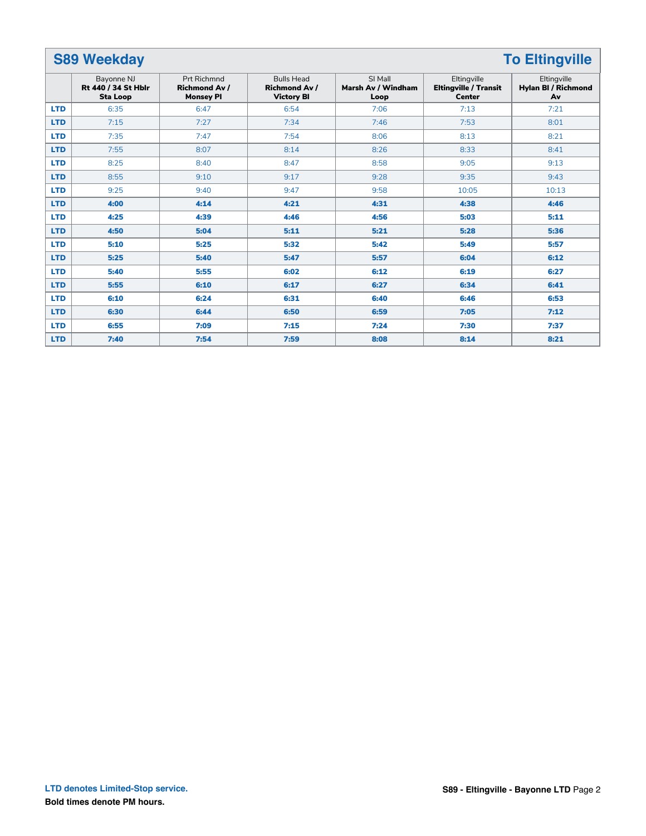| <b>S89 Weekday</b><br><b>To Eltingville</b> |                                                      |                                                         |                                                                |                                       |                                                              |                                                 |  |
|---------------------------------------------|------------------------------------------------------|---------------------------------------------------------|----------------------------------------------------------------|---------------------------------------|--------------------------------------------------------------|-------------------------------------------------|--|
|                                             | Bayonne NJ<br>Rt 440 / 34 St Hblr<br><b>Sta Loop</b> | Prt Richmnd<br><b>Richmond Av /</b><br><b>Monsey PI</b> | <b>Bulls Head</b><br><b>Richmond Av /</b><br><b>Victory BI</b> | SI Mall<br>Marsh Av / Windham<br>Loop | Eltingville<br><b>Eltingville / Transit</b><br><b>Center</b> | Eltingville<br><b>Hylan BI / Richmond</b><br>Av |  |
| <b>LTD</b>                                  | 6:35                                                 | 6:47                                                    | 6:54                                                           | 7:06                                  | 7:13                                                         | 7:21                                            |  |
| <b>LTD</b>                                  | 7:15                                                 | 7:27                                                    | 7:34                                                           | 7:46                                  | 7:53                                                         | 8:01                                            |  |
| <b>LTD</b>                                  | 7:35                                                 | 7:47                                                    | 7:54                                                           | 8:06                                  | 8:13                                                         | 8:21                                            |  |
| <b>LTD</b>                                  | 7:55                                                 | 8:07                                                    | 8:14                                                           | 8:26                                  | 8:33                                                         | 8:41                                            |  |
| <b>LTD</b>                                  | 8:25                                                 | 8:40                                                    | 8:47                                                           | 8:58                                  | 9:05                                                         | 9:13                                            |  |
| <b>LTD</b>                                  | 8:55                                                 | 9:10                                                    | 9:17                                                           | 9:28                                  | 9:35                                                         | 9:43                                            |  |
| <b>LTD</b>                                  | 9:25                                                 | 9:40                                                    | 9:47                                                           | 9:58                                  | 10:05                                                        | 10:13                                           |  |
| <b>LTD</b>                                  | 4:00                                                 | 4:14                                                    | 4:21                                                           | 4:31                                  | 4:38                                                         | 4:46                                            |  |
| <b>LTD</b>                                  | 4:25                                                 | 4:39                                                    | 4:46                                                           | 4:56                                  | 5:03                                                         | 5:11                                            |  |
| <b>LTD</b>                                  | 4:50                                                 | 5:04                                                    | 5:11                                                           | 5:21                                  | 5:28                                                         | 5:36                                            |  |
| <b>LTD</b>                                  | 5:10                                                 | 5:25                                                    | 5:32                                                           | 5:42                                  | 5:49                                                         | 5:57                                            |  |
| <b>LTD</b>                                  | 5:25                                                 | 5:40                                                    | 5:47                                                           | 5:57                                  | 6:04                                                         | 6:12                                            |  |
| <b>LTD</b>                                  | 5:40                                                 | 5:55                                                    | 6:02                                                           | 6:12                                  | 6:19                                                         | 6:27                                            |  |
| <b>LTD</b>                                  | 5:55                                                 | 6:10                                                    | 6:17                                                           | 6:27                                  | 6:34                                                         | 6:41                                            |  |
| <b>LTD</b>                                  | 6:10                                                 | 6:24                                                    | 6:31                                                           | 6:40                                  | 6:46                                                         | 6:53                                            |  |
| <b>LTD</b>                                  | 6:30                                                 | 6:44                                                    | 6:50                                                           | 6:59                                  | 7:05                                                         | 7:12                                            |  |
| <b>LTD</b>                                  | 6:55                                                 | 7:09                                                    | 7:15                                                           | 7:24                                  | 7:30                                                         | 7:37                                            |  |
| <b>LTD</b>                                  | 7:40                                                 | 7:54                                                    | 7:59                                                           | 8:08                                  | 8:14                                                         | 8:21                                            |  |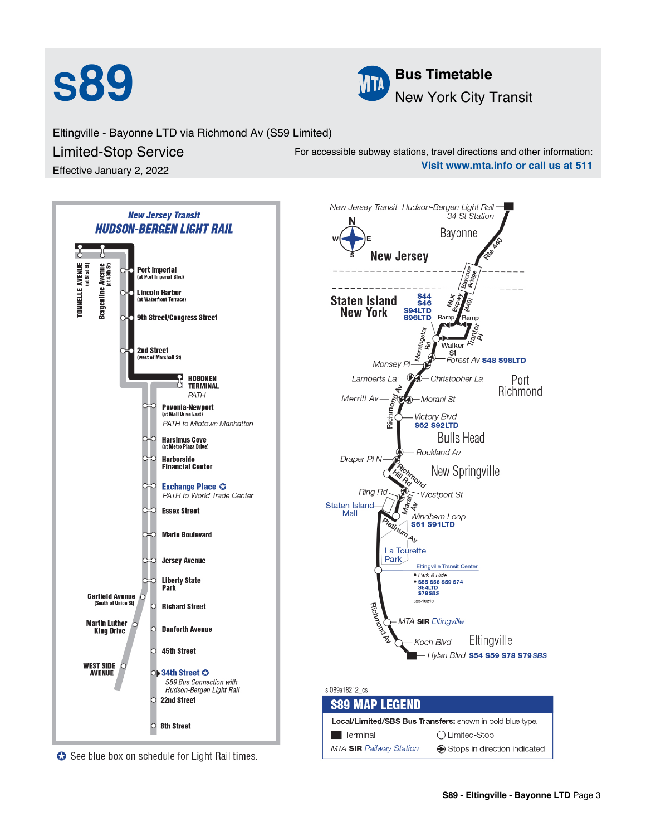



Eltingville - Bayonne LTD via Richmond Av (S59 Limited)

Limited-Stop Service

Effective January 2, 2022

For accessible subway stations, travel directions and other information: **Visit www.mta.info or call us at 511**

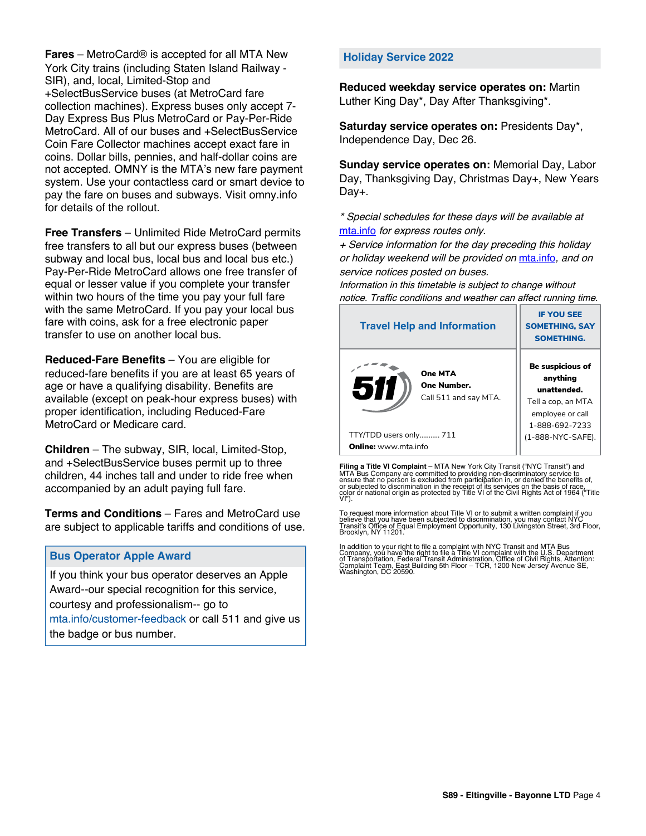**Fares** – MetroCard® is accepted for all MTA New York City trains (including Staten Island Railway - SIR), and, local, Limited-Stop and +SelectBusService buses (at MetroCard fare collection machines). Express buses only accept 7- Day Express Bus Plus MetroCard or Pay-Per-Ride MetroCard. All of our buses and +SelectBusService Coin Fare Collector machines accept exact fare in coins. Dollar bills, pennies, and half-dollar coins are not accepted. OMNY is the MTA's new fare payment system. Use your contactless card or smart device to pay the fare on buses and subways. Visit omny.info for details of the rollout.

**Free Transfers** – Unlimited Ride MetroCard permits free transfers to all but our express buses (between subway and local bus, local bus and local bus etc.) Pay-Per-Ride MetroCard allows one free transfer of equal or lesser value if you complete your transfer within two hours of the time you pay your full fare with the same MetroCard. If you pay your local bus fare with coins, ask for a free electronic paper transfer to use on another local bus.

**Reduced-Fare Benefits** – You are eligible for reduced-fare benefits if you are at least 65 years of age or have a qualifying disability. Benefits are available (except on peak-hour express buses) with proper identification, including Reduced-Fare MetroCard or Medicare card.

**Children** – The subway, SIR, local, Limited-Stop, and +SelectBusService buses permit up to three children, 44 inches tall and under to ride free when accompanied by an adult paying full fare.

**Terms and Conditions** – Fares and MetroCard use are subject to applicable tariffs and conditions of use.

## **Bus Operator Apple Award**

If you think your bus operator deserves an Apple Award--our special recognition for this service, courtesy and professionalism-- go to mta.info/customer-feedback or call 511 and give us the badge or bus number.

## **Holiday Service 2022**

**Reduced weekday service operates on:** Martin Luther King Day\*, Day After Thanksgiving\*.

**Saturday service operates on:** Presidents Day\*, Independence Day, Dec 26.

**Sunday service operates on:** Memorial Day, Labor Day, Thanksgiving Day, Christmas Day+, New Years Day+.

\* Special schedules for these days will be available at [mta.info](https://new.mta.info/) for express routes only.

+ Service information for the day preceding this holiday or holiday weekend will be provided on [mta.info](https://new.mta.info/), and on service notices posted on buses.

Information in this timetable is subject to change without notice. Traffic conditions and weather can affect running time.

| <b>Travel Help and Information</b>                     | <b>IF YOU SEE</b><br><b>SOMETHING, SAY</b><br><b>SOMETHING.</b>                                         |  |
|--------------------------------------------------------|---------------------------------------------------------------------------------------------------------|--|
| One MTA<br>511<br>One Number.<br>Call 511 and say MTA. | Be suspicious of<br>anything<br>unattended.<br>Tell a cop, an MTA<br>employee or call<br>1-888-692-7233 |  |
| TTY/TDD users only 711                                 | (1-888-NYC-SAFE).                                                                                       |  |
| <b>Online:</b> www.mta.info                            |                                                                                                         |  |

**Filing a Title VI Complaint** – MTA New York City Transit ("NYC Transit") and<br>MTA Bus Company are committed to providing non-discriminatory service to<br>ensure that no person is excluded from participation in, or denied the

To request more information about Title VI or to submit a written complaint if you believe that you have been subjected to discrimination, you may contact NYC<br>Transit's Office of Equal Employment Opportunity, 130 Livingston Street, 3rd Floor,<br>Brooklyn, NY 11201.

In addition to your right to file a complaint with NYC Transit and MTA Bus<br>Company, you have the right to file a Title VI complaint with the U.S. Department<br>of Transportation, Federal Transit Administration, Office of Civi